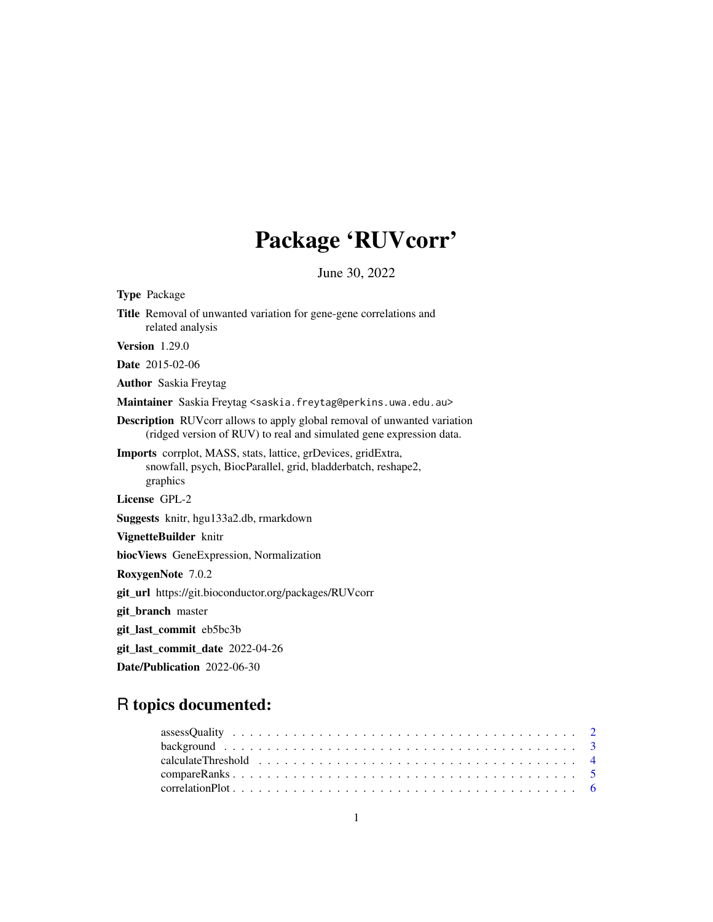# Package 'RUVcorr'

June 30, 2022

<span id="page-0-0"></span>

| <b>Type Package</b>                                                                                                                                     |
|---------------------------------------------------------------------------------------------------------------------------------------------------------|
| Title Removal of unwanted variation for gene-gene correlations and<br>related analysis                                                                  |
| <b>Version</b> 1.29.0                                                                                                                                   |
| <b>Date</b> 2015-02-06                                                                                                                                  |
| <b>Author</b> Saskia Freytag                                                                                                                            |
| Maintainer Saskia Freytag <saskia.freytag@perkins.uwa.edu.au></saskia.freytag@perkins.uwa.edu.au>                                                       |
| <b>Description</b> RUV corr allows to apply global removal of unwanted variation<br>(ridged version of RUV) to real and simulated gene expression data. |
| Imports corrplot, MASS, stats, lattice, grDevices, gridExtra,<br>snowfall, psych, BiocParallel, grid, bladderbatch, reshape2,<br>graphics               |
| License GPL-2                                                                                                                                           |
| <b>Suggests</b> knitr, hgu133a2.db, rmarkdown                                                                                                           |
| VignetteBuilder knitr                                                                                                                                   |
| biocViews GeneExpression, Normalization                                                                                                                 |
| RoxygenNote 7.0.2                                                                                                                                       |
| git_url https://git.bioconductor.org/packages/RUVcorr                                                                                                   |
| git_branch master                                                                                                                                       |
| git_last_commit eb5bc3b                                                                                                                                 |
| git_last_commit_date 2022-04-26                                                                                                                         |
| Date/Publication 2022-06-30                                                                                                                             |

## R topics documented: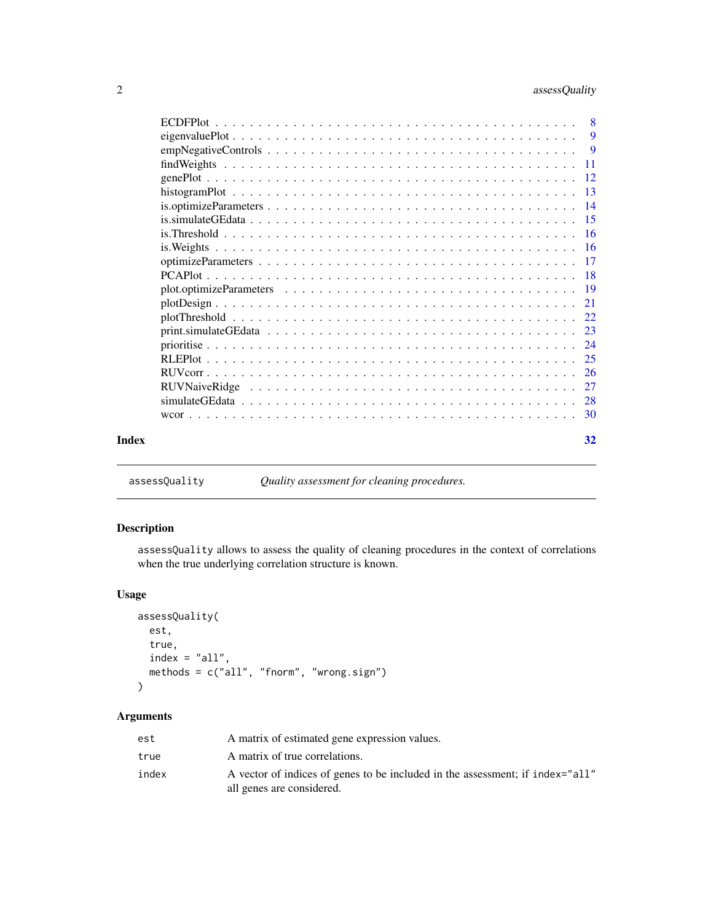<span id="page-1-0"></span>

|       |    | 9  |
|-------|----|----|
|       |    | -9 |
|       |    |    |
|       |    |    |
|       |    |    |
|       |    |    |
|       |    |    |
|       |    |    |
|       |    |    |
|       |    |    |
|       |    |    |
|       |    |    |
|       | 21 |    |
|       |    |    |
|       |    |    |
|       |    |    |
|       |    |    |
|       |    |    |
|       |    |    |
|       |    |    |
|       |    |    |
| Index | 32 |    |

<span id="page-1-1"></span>assessQuality *Quality assessment for cleaning procedures.*

### Description

assessQuality allows to assess the quality of cleaning procedures in the context of correlations when the true underlying correlation structure is known.

### Usage

```
assessQuality(
  est,
  true,
  index = "all",methods = c("all", "fnorm", "wrong.sign")
\mathcal{L}
```

| est   | A matrix of estimated gene expression values.                                                              |
|-------|------------------------------------------------------------------------------------------------------------|
| true  | A matrix of true correlations.                                                                             |
| index | A vector of indices of genes to be included in the assessment; if index="all"<br>all genes are considered. |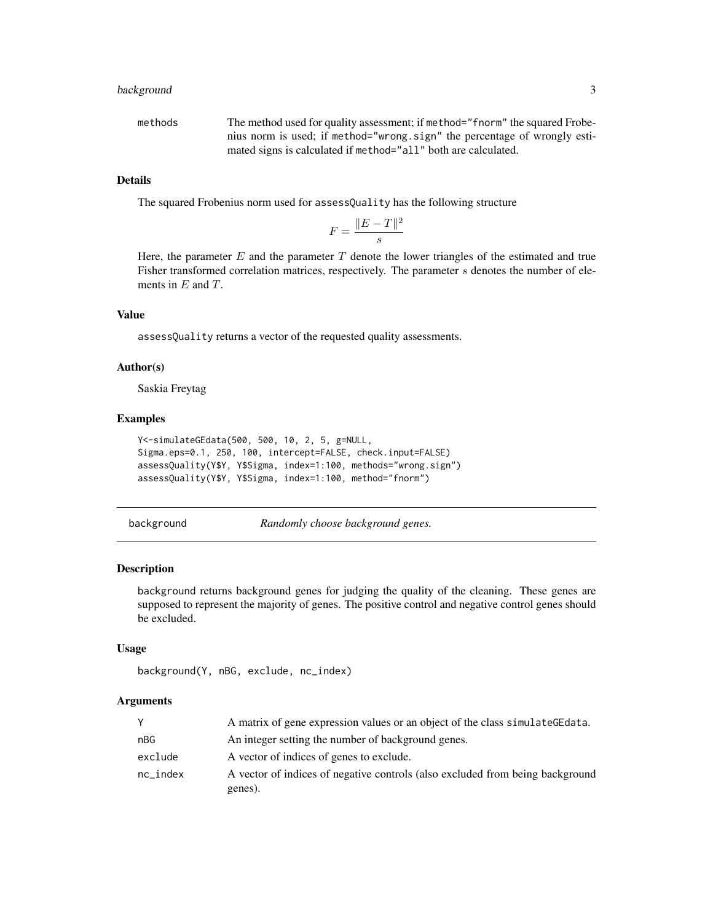### <span id="page-2-0"></span>background 3

| methods | The method used for quality assessment; if method="fnorm" the squared Frobe- |
|---------|------------------------------------------------------------------------------|
|         | nius norm is used; if method="wrong.sign" the percentage of wrongly esti-    |
|         | mated signs is calculated if method="all" both are calculated.               |

### Details

The squared Frobenius norm used for assessQuality has the following structure

$$
F = \frac{\|E-T\|^2}{s}
$$

Here, the parameter  $E$  and the parameter  $T$  denote the lower triangles of the estimated and true Fisher transformed correlation matrices, respectively. The parameter s denotes the number of elements in  $E$  and  $T$ .

### Value

assessQuality returns a vector of the requested quality assessments.

#### Author(s)

Saskia Freytag

#### Examples

```
Y<-simulateGEdata(500, 500, 10, 2, 5, g=NULL,
Sigma.eps=0.1, 250, 100, intercept=FALSE, check.input=FALSE)
assessQuality(Y$Y, Y$Sigma, index=1:100, methods="wrong.sign")
assessQuality(Y$Y, Y$Sigma, index=1:100, method="fnorm")
```
background *Randomly choose background genes.*

### Description

background returns background genes for judging the quality of the cleaning. These genes are supposed to represent the majority of genes. The positive control and negative control genes should be excluded.

#### Usage

```
background(Y, nBG, exclude, nc_index)
```

| Y           | A matrix of gene expression values or an object of the class simulate GE data. |
|-------------|--------------------------------------------------------------------------------|
| nBG         | An integer setting the number of background genes.                             |
| exclude     | A vector of indices of genes to exclude.                                       |
| $nc\_index$ | A vector of indices of negative controls (also excluded from being background  |
|             | genes).                                                                        |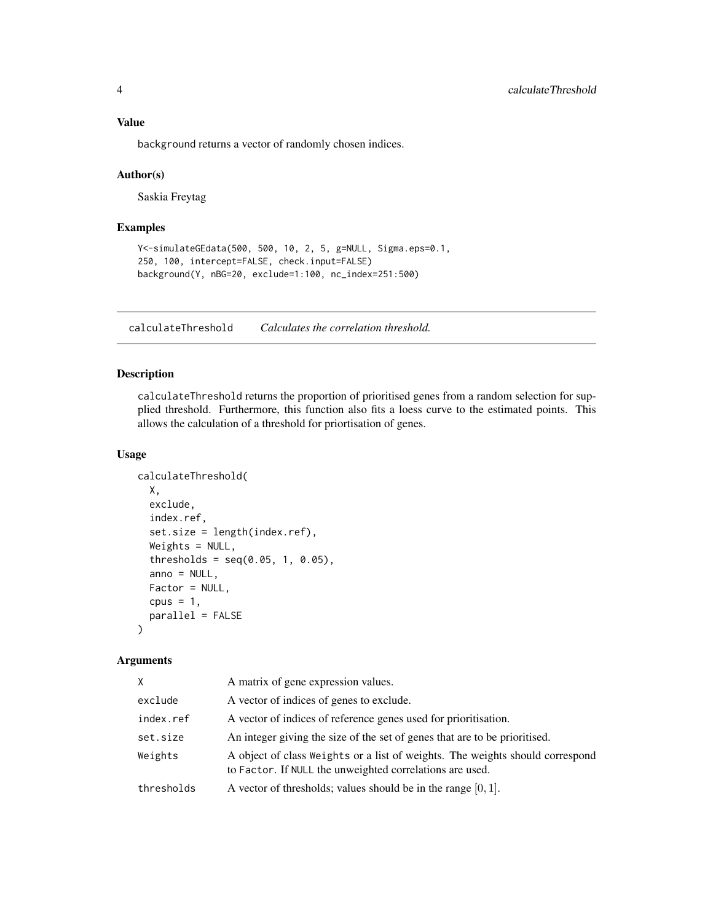### <span id="page-3-0"></span>Value

background returns a vector of randomly chosen indices.

#### Author(s)

Saskia Freytag

### Examples

```
Y<-simulateGEdata(500, 500, 10, 2, 5, g=NULL, Sigma.eps=0.1,
250, 100, intercept=FALSE, check.input=FALSE)
background(Y, nBG=20, exclude=1:100, nc_index=251:500)
```
<span id="page-3-1"></span>calculateThreshold *Calculates the correlation threshold.*

### Description

calculateThreshold returns the proportion of prioritised genes from a random selection for supplied threshold. Furthermore, this function also fits a loess curve to the estimated points. This allows the calculation of a threshold for priortisation of genes.

### Usage

```
calculateThreshold(
  X,
  exclude,
  index.ref,
  set.size = length(index.ref),
  Weights = NULL,
  thresholds = seq(0.05, 1, 0.05),
  anno = NULL,Factor = NULL,
  cpus = 1,parallel = FALSE
\lambda
```

| X.         | A matrix of gene expression values.                                                                                                       |
|------------|-------------------------------------------------------------------------------------------------------------------------------------------|
| exclude    | A vector of indices of genes to exclude.                                                                                                  |
| index.ref  | A vector of indices of reference genes used for prioritisation.                                                                           |
| set.size   | An integer giving the size of the set of genes that are to be prioritised.                                                                |
| Weights    | A object of class Weights or a list of weights. The weights should correspond<br>to Factor. If NULL the unweighted correlations are used. |
| thresholds | A vector of thresholds; values should be in the range $[0, 1]$ .                                                                          |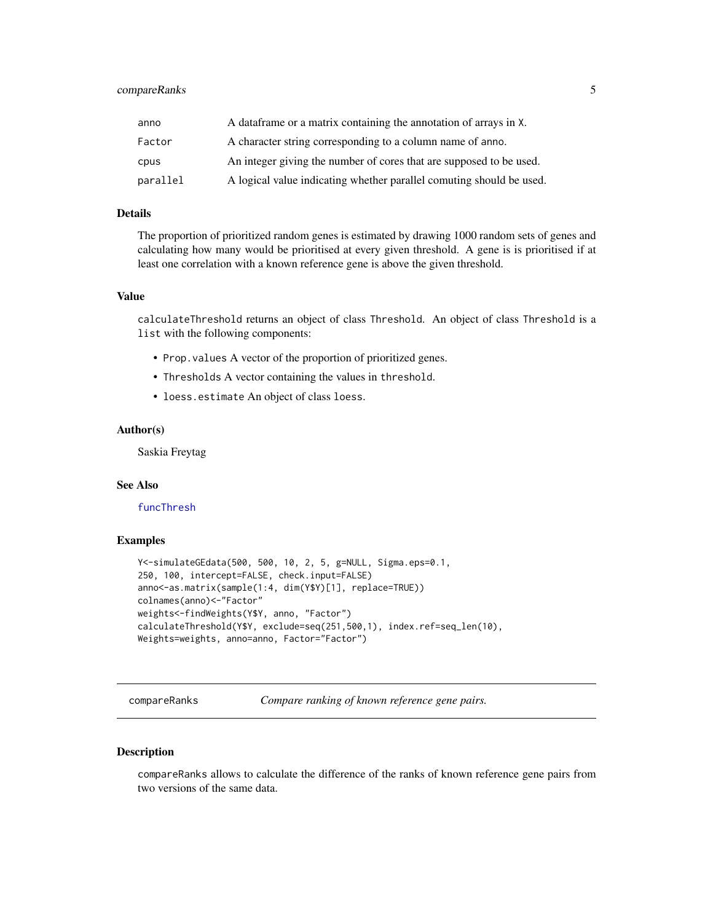### <span id="page-4-0"></span>compareRanks 5

| anno     | A data frame or a matrix containing the annotation of arrays in X.   |
|----------|----------------------------------------------------------------------|
| Factor   | A character string corresponding to a column name of anno.           |
| cpus     | An integer giving the number of cores that are supposed to be used.  |
| parallel | A logical value indicating whether parallel comuting should be used. |

### Details

The proportion of prioritized random genes is estimated by drawing 1000 random sets of genes and calculating how many would be prioritised at every given threshold. A gene is is prioritised if at least one correlation with a known reference gene is above the given threshold.

#### Value

calculateThreshold returns an object of class Threshold. An object of class Threshold is a list with the following components:

- Prop.values A vector of the proportion of prioritized genes.
- Thresholds A vector containing the values in threshold.
- loess.estimate An object of class loess.

### Author(s)

Saskia Freytag

#### See Also

[funcThresh](#page-0-0)

#### Examples

```
Y<-simulateGEdata(500, 500, 10, 2, 5, g=NULL, Sigma.eps=0.1,
250, 100, intercept=FALSE, check.input=FALSE)
anno<-as.matrix(sample(1:4, dim(Y$Y)[1], replace=TRUE))
colnames(anno)<-"Factor"
weights<-findWeights(Y$Y, anno, "Factor")
calculateThreshold(Y$Y, exclude=seq(251,500,1), index.ref=seq_len(10),
Weights=weights, anno=anno, Factor="Factor")
```
compareRanks *Compare ranking of known reference gene pairs.*

#### Description

compareRanks allows to calculate the difference of the ranks of known reference gene pairs from two versions of the same data.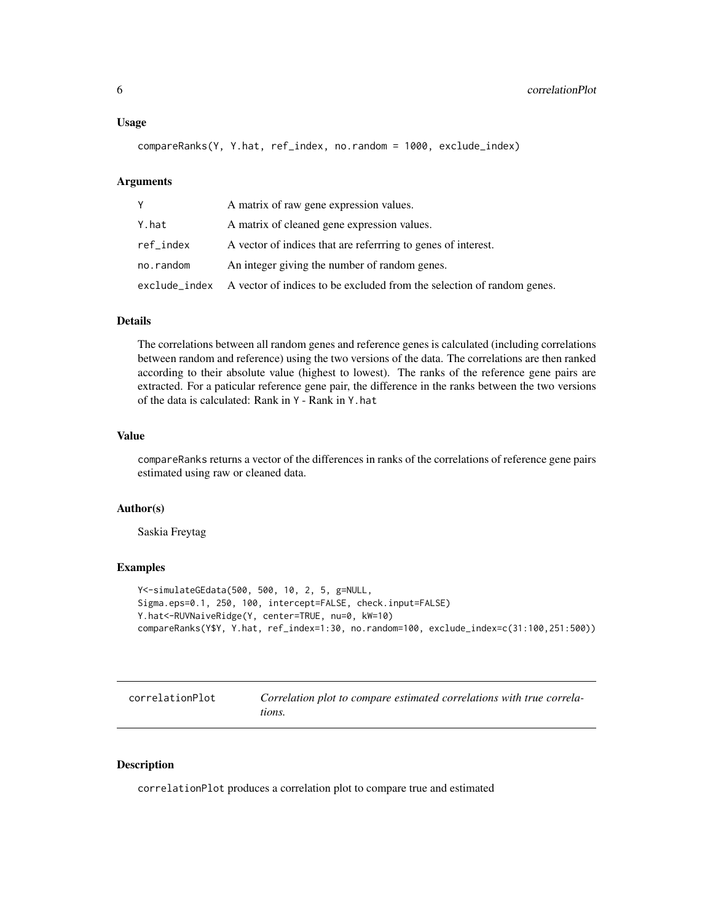#### <span id="page-5-0"></span>Usage

compareRanks(Y, Y.hat, ref\_index, no.random = 1000, exclude\_index)

#### Arguments

| Y.        | A matrix of raw gene expression values.                                              |
|-----------|--------------------------------------------------------------------------------------|
| Y.hat     | A matrix of cleaned gene expression values.                                          |
| ref_index | A vector of indices that are referrring to genes of interest.                        |
| no.random | An integer giving the number of random genes.                                        |
|           | exclude_index A vector of indices to be excluded from the selection of random genes. |

### Details

The correlations between all random genes and reference genes is calculated (including correlations between random and reference) using the two versions of the data. The correlations are then ranked according to their absolute value (highest to lowest). The ranks of the reference gene pairs are extracted. For a paticular reference gene pair, the difference in the ranks between the two versions of the data is calculated: Rank in Y - Rank in Y.hat

### Value

compareRanks returns a vector of the differences in ranks of the correlations of reference gene pairs estimated using raw or cleaned data.

#### Author(s)

Saskia Freytag

#### Examples

```
Y<-simulateGEdata(500, 500, 10, 2, 5, g=NULL,
Sigma.eps=0.1, 250, 100, intercept=FALSE, check.input=FALSE)
Y.hat<-RUVNaiveRidge(Y, center=TRUE, nu=0, kW=10)
compareRanks(Y$Y, Y.hat, ref_index=1:30, no.random=100, exclude_index=c(31:100,251:500))
```

| correlationPlot | Correlation plot to compare estimated correlations with true correla- |
|-----------------|-----------------------------------------------------------------------|
|                 | tions.                                                                |

#### Description

correlationPlot produces a correlation plot to compare true and estimated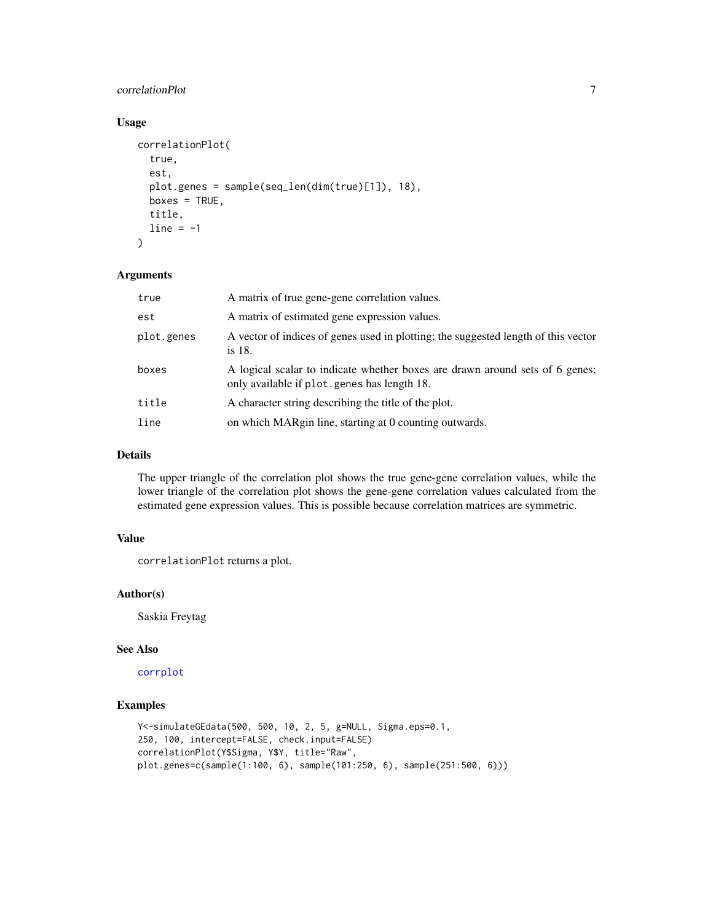### <span id="page-6-0"></span>correlationPlot 7

### Usage

```
correlationPlot(
  true,
  est,
  plot.genes = sample(seq_len(dim(true)[1]), 18),
 boxes = TRUE,
  title,
  line = -1)
```
#### Arguments

| true       | A matrix of true gene-gene correlation values.                                                                               |
|------------|------------------------------------------------------------------------------------------------------------------------------|
| est        | A matrix of estimated gene expression values.                                                                                |
| plot.genes | A vector of indices of genes used in plotting; the suggested length of this vector<br>is 18.                                 |
| boxes      | A logical scalar to indicate whether boxes are drawn around sets of 6 genes;<br>only available if plot. genes has length 18. |
| title      | A character string describing the title of the plot.                                                                         |
| line       | on which MARgin line, starting at 0 counting outwards.                                                                       |

### Details

The upper triangle of the correlation plot shows the true gene-gene correlation values, while the lower triangle of the correlation plot shows the gene-gene correlation values calculated from the estimated gene expression values. This is possible because correlation matrices are symmetric.

### Value

correlationPlot returns a plot.

### Author(s)

Saskia Freytag

### See Also

[corrplot](#page-0-0)

```
Y<-simulateGEdata(500, 500, 10, 2, 5, g=NULL, Sigma.eps=0.1,
250, 100, intercept=FALSE, check.input=FALSE)
correlationPlot(Y$Sigma, Y$Y, title="Raw",
plot.genes=c(sample(1:100, 6), sample(101:250, 6), sample(251:500, 6)))
```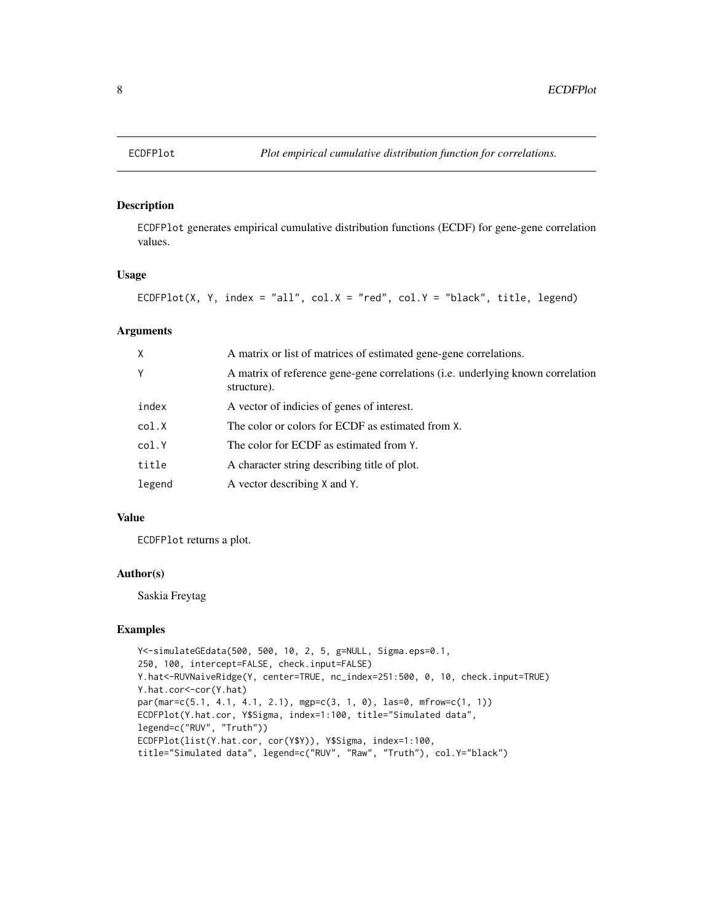ECDFPlot generates empirical cumulative distribution functions (ECDF) for gene-gene correlation values.

### Usage

```
ECDFPlot(X, Y, index = "all", col.X = "red", col.Y = "black", title, legend)
```
### Arguments

| $\times$ | A matrix or list of matrices of estimated gene-gene correlations.                              |
|----------|------------------------------------------------------------------------------------------------|
| Y        | A matrix of reference gene-gene correlations (i.e. underlying known correlation<br>structure). |
| index    | A vector of indicies of genes of interest.                                                     |
| col.X    | The color or colors for ECDF as estimated from X.                                              |
| col.Y    | The color for ECDF as estimated from Y.                                                        |
| title    | A character string describing title of plot.                                                   |
| legend   | A vector describing X and Y.                                                                   |

### Value

ECDFPlot returns a plot.

### Author(s)

Saskia Freytag

```
Y<-simulateGEdata(500, 500, 10, 2, 5, g=NULL, Sigma.eps=0.1,
250, 100, intercept=FALSE, check.input=FALSE)
Y.hat<-RUVNaiveRidge(Y, center=TRUE, nc_index=251:500, 0, 10, check.input=TRUE)
Y.hat.cor<-cor(Y.hat)
par(mar=c(5.1, 4.1, 4.1, 2.1), mgp=c(3, 1, 0), las=0, mfrow=c(1, 1))
ECDFPlot(Y.hat.cor, Y$Sigma, index=1:100, title="Simulated data",
legend=c("RUV", "Truth"))
ECDFPlot(list(Y.hat.cor, cor(Y$Y)), Y$Sigma, index=1:100,
title="Simulated data", legend=c("RUV", "Raw", "Truth"), col.Y="black")
```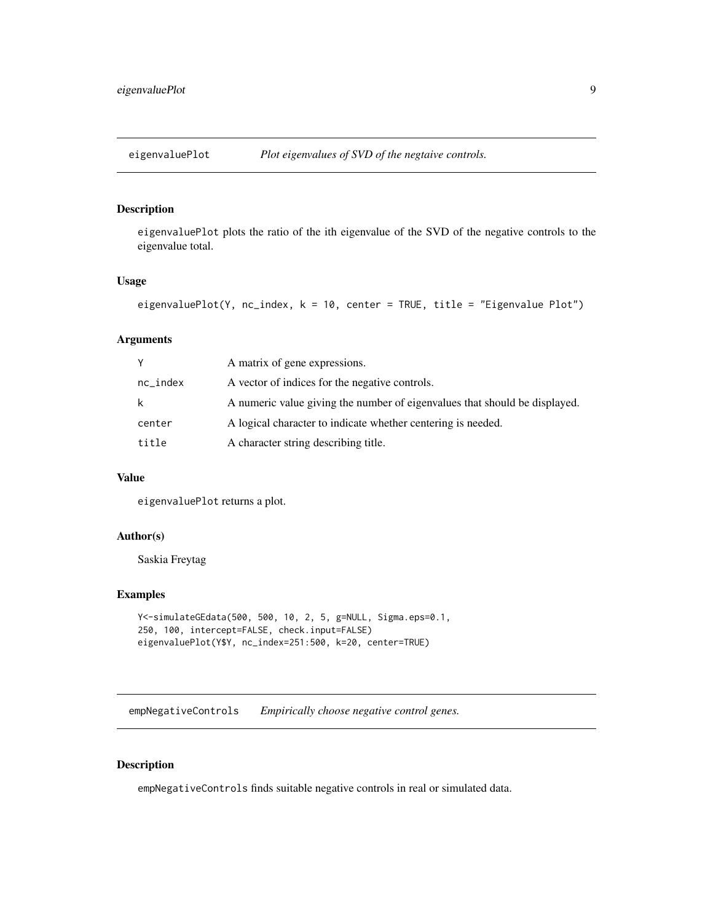<span id="page-8-0"></span>

eigenvaluePlot plots the ratio of the ith eigenvalue of the SVD of the negative controls to the eigenvalue total.

### Usage

```
eigenvaluePlot(Y, nc_index, k = 10, center = TRUE, title = "Eigenvalue Plot")
```
### Arguments

| V           | A matrix of gene expressions.                                              |
|-------------|----------------------------------------------------------------------------|
| $nc\_index$ | A vector of indices for the negative controls.                             |
| k           | A numeric value giving the number of eigenvalues that should be displayed. |
| center      | A logical character to indicate whether centering is needed.               |
| title       | A character string describing title.                                       |

### Value

eigenvaluePlot returns a plot.

### Author(s)

Saskia Freytag

### Examples

```
Y<-simulateGEdata(500, 500, 10, 2, 5, g=NULL, Sigma.eps=0.1,
250, 100, intercept=FALSE, check.input=FALSE)
eigenvaluePlot(Y$Y, nc_index=251:500, k=20, center=TRUE)
```
empNegativeControls *Empirically choose negative control genes.*

#### Description

empNegativeControls finds suitable negative controls in real or simulated data.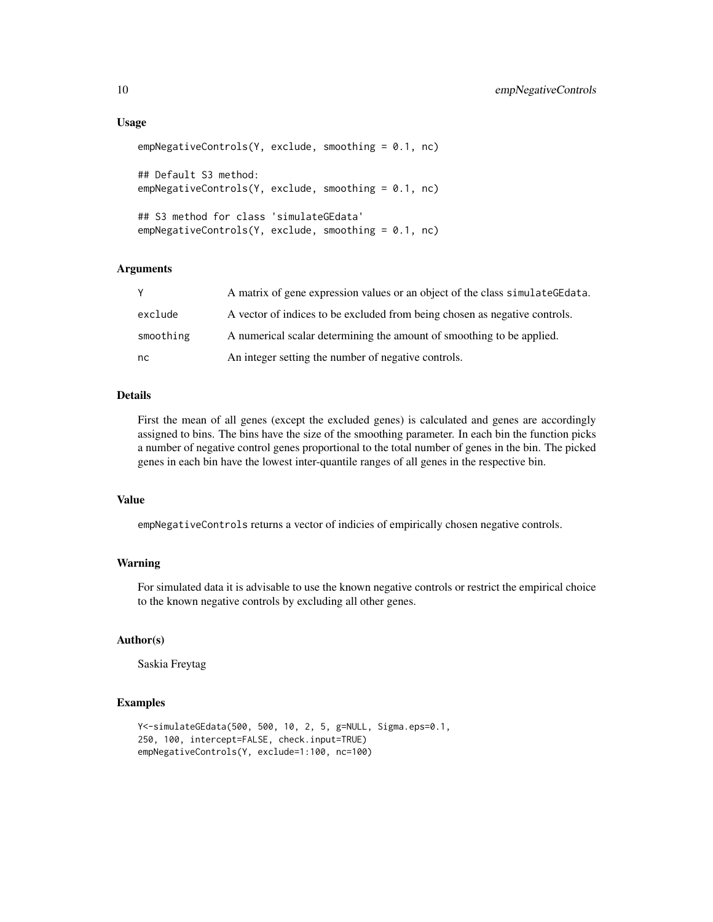#### Usage

```
empNegativeControls(Y, exclude, smoothing = 0.1, nc)
## Default S3 method:
empNegativeControls(Y, exclude, smoothing = 0.1, nc)
## S3 method for class 'simulateGEdata'
empNegativeControls(Y, exclude, smoothing = 0.1, nc)
```
### Arguments

|           | A matrix of gene expression values or an object of the class simulate GE data. |
|-----------|--------------------------------------------------------------------------------|
| exclude   | A vector of indices to be excluded from being chosen as negative controls.     |
| smoothing | A numerical scalar determining the amount of smoothing to be applied.          |
| nc.       | An integer setting the number of negative controls.                            |

#### Details

First the mean of all genes (except the excluded genes) is calculated and genes are accordingly assigned to bins. The bins have the size of the smoothing parameter. In each bin the function picks a number of negative control genes proportional to the total number of genes in the bin. The picked genes in each bin have the lowest inter-quantile ranges of all genes in the respective bin.

### Value

empNegativeControls returns a vector of indicies of empirically chosen negative controls.

### Warning

For simulated data it is advisable to use the known negative controls or restrict the empirical choice to the known negative controls by excluding all other genes.

### Author(s)

Saskia Freytag

```
Y<-simulateGEdata(500, 500, 10, 2, 5, g=NULL, Sigma.eps=0.1,
250, 100, intercept=FALSE, check.input=TRUE)
empNegativeControls(Y, exclude=1:100, nc=100)
```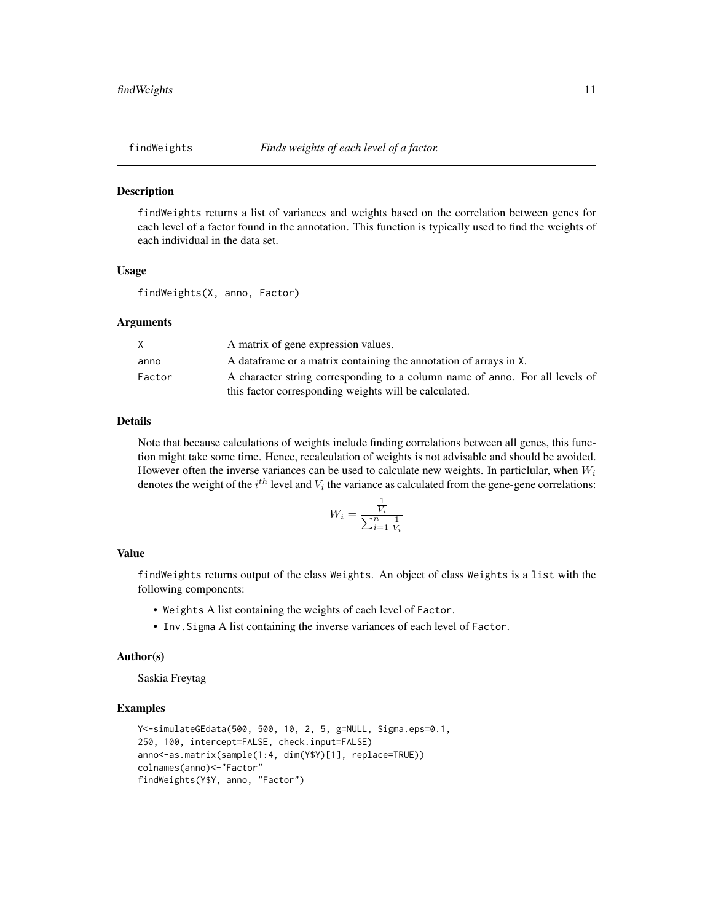<span id="page-10-1"></span><span id="page-10-0"></span>

findWeights returns a list of variances and weights based on the correlation between genes for each level of a factor found in the annotation. This function is typically used to find the weights of each individual in the data set.

#### Usage

findWeights(X, anno, Factor)

#### Arguments

| X      | A matrix of gene expression values.                                          |
|--------|------------------------------------------------------------------------------|
| anno   | A data frame or a matrix containing the annotation of arrays in X.           |
| Factor | A character string corresponding to a column name of anno. For all levels of |
|        | this factor corresponding weights will be calculated.                        |

### Details

Note that because calculations of weights include finding correlations between all genes, this function might take some time. Hence, recalculation of weights is not advisable and should be avoided. However often the inverse variances can be used to calculate new weights. In particlular, when  $W_i$ denotes the weight of the  $i^{th}$  level and  $V_i$  the variance as calculated from the gene-gene correlations:

$$
W_i = \frac{\frac{1}{V_i}}{\sum_{i=1}^n \frac{1}{V_i}}
$$

#### Value

findWeights returns output of the class Weights. An object of class Weights is a list with the following components:

- Weights A list containing the weights of each level of Factor.
- Inv.Sigma A list containing the inverse variances of each level of Factor.

#### Author(s)

Saskia Freytag

```
Y<-simulateGEdata(500, 500, 10, 2, 5, g=NULL, Sigma.eps=0.1,
250, 100, intercept=FALSE, check.input=FALSE)
anno<-as.matrix(sample(1:4, dim(Y$Y)[1], replace=TRUE))
colnames(anno)<-"Factor"
findWeights(Y$Y, anno, "Factor")
```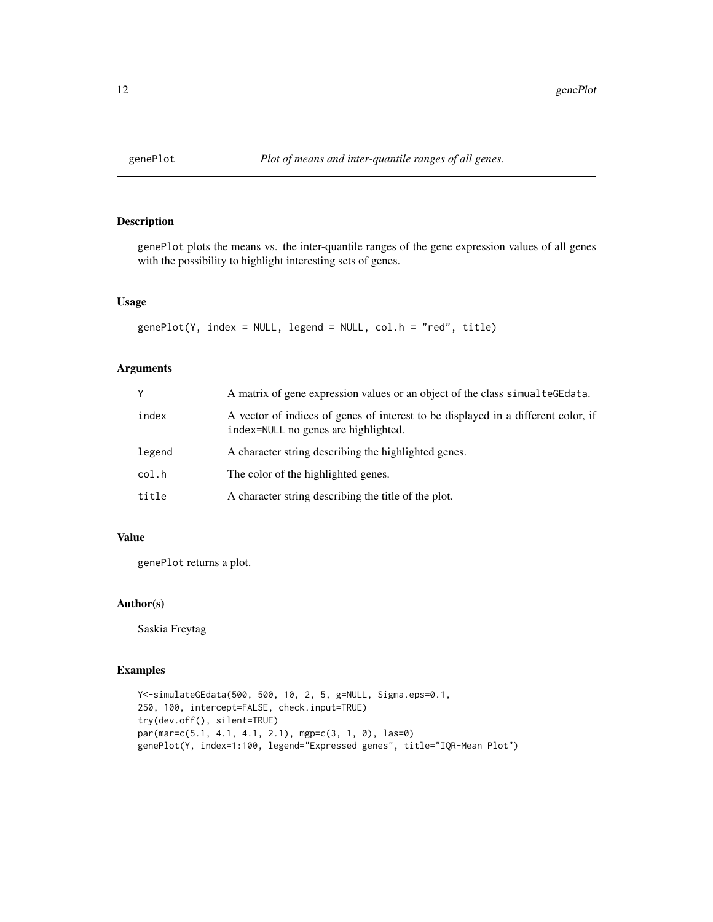<span id="page-11-0"></span>

genePlot plots the means vs. the inter-quantile ranges of the gene expression values of all genes with the possibility to highlight interesting sets of genes.

### Usage

```
genePlot(Y, index = NULL, legend = NULL, col.h = "red", title)
```
### Arguments

| γ      | A matrix of gene expression values or an object of the class simual tegedata.                                             |
|--------|---------------------------------------------------------------------------------------------------------------------------|
| index  | A vector of indices of genes of interest to be displayed in a different color, if<br>index=NULL no genes are highlighted. |
| legend | A character string describing the highlighted genes.                                                                      |
| col.h  | The color of the highlighted genes.                                                                                       |
| title  | A character string describing the title of the plot.                                                                      |

### Value

genePlot returns a plot.

### Author(s)

Saskia Freytag

```
Y<-simulateGEdata(500, 500, 10, 2, 5, g=NULL, Sigma.eps=0.1,
250, 100, intercept=FALSE, check.input=TRUE)
try(dev.off(), silent=TRUE)
par(mar=c(5.1, 4.1, 4.1, 2.1), mgp=c(3, 1, 0), las=0)
genePlot(Y, index=1:100, legend="Expressed genes", title="IQR-Mean Plot")
```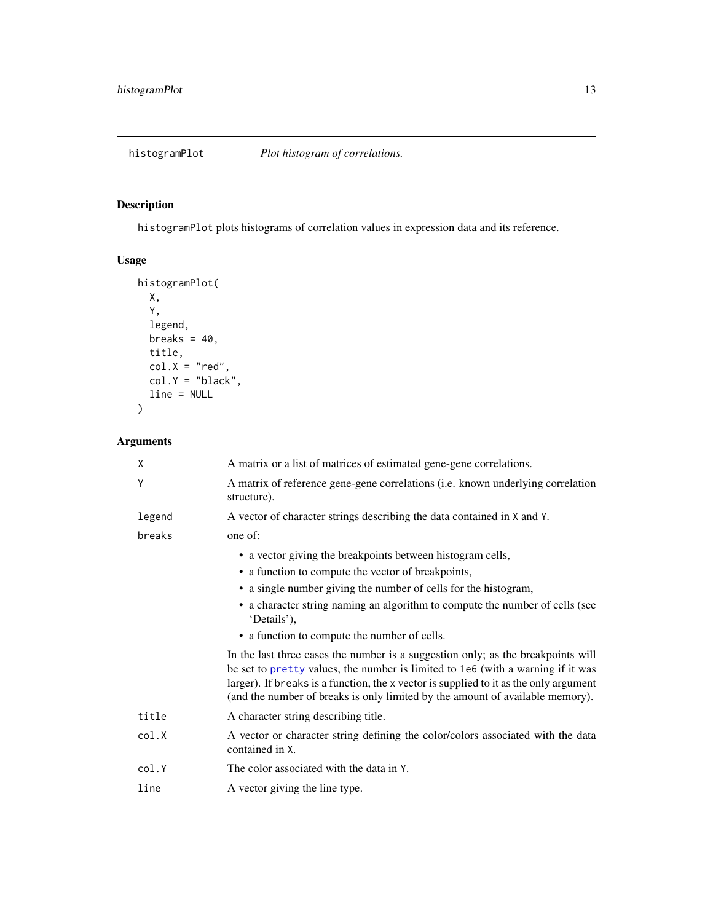<span id="page-12-0"></span>histogramPlot *Plot histogram of correlations.*

## Description

histogramPlot plots histograms of correlation values in expression data and its reference.

### Usage

```
histogramPlot(
 X,
 Y,
 legend,
 breaks = 40,
 title,
 col.X = "red",col.Y = "black",line = NULL
)
```

| X      | A matrix or a list of matrices of estimated gene-gene correlations.                                                                                                                                                                                                                                                                           |
|--------|-----------------------------------------------------------------------------------------------------------------------------------------------------------------------------------------------------------------------------------------------------------------------------------------------------------------------------------------------|
| Y      | A matrix of reference gene-gene correlations (i.e. known underlying correlation<br>structure).                                                                                                                                                                                                                                                |
| legend | A vector of character strings describing the data contained in X and Y.                                                                                                                                                                                                                                                                       |
| breaks | one of:                                                                                                                                                                                                                                                                                                                                       |
|        | • a vector giving the breakpoints between histogram cells,                                                                                                                                                                                                                                                                                    |
|        | • a function to compute the vector of breakpoints,                                                                                                                                                                                                                                                                                            |
|        | • a single number giving the number of cells for the histogram,                                                                                                                                                                                                                                                                               |
|        | • a character string naming an algorithm to compute the number of cells (see<br>'Details'),                                                                                                                                                                                                                                                   |
|        | • a function to compute the number of cells.                                                                                                                                                                                                                                                                                                  |
|        | In the last three cases the number is a suggestion only; as the breakpoints will<br>be set to pretty values, the number is limited to 1e6 (with a warning if it was<br>larger). If breaks is a function, the x vector is supplied to it as the only argument<br>(and the number of breaks is only limited by the amount of available memory). |
| title  | A character string describing title.                                                                                                                                                                                                                                                                                                          |
| col.X  | A vector or character string defining the color/colors associated with the data<br>contained in X.                                                                                                                                                                                                                                            |
| col.Y  | The color associated with the data in Y.                                                                                                                                                                                                                                                                                                      |
| line   | A vector giving the line type.                                                                                                                                                                                                                                                                                                                |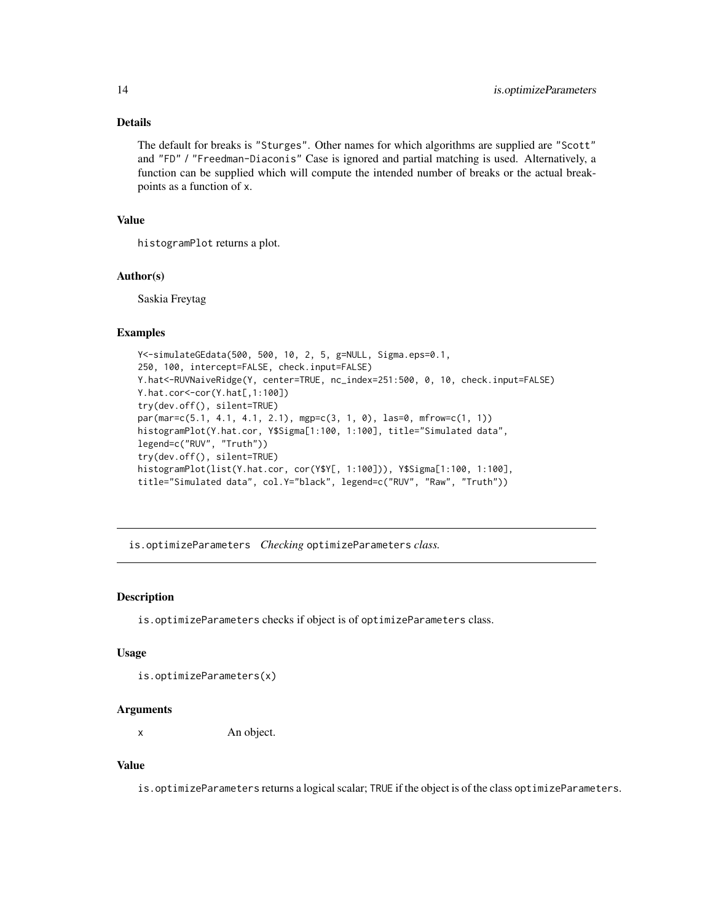### <span id="page-13-0"></span>Details

The default for breaks is "Sturges". Other names for which algorithms are supplied are "Scott" and "FD" / "Freedman-Diaconis" Case is ignored and partial matching is used. Alternatively, a function can be supplied which will compute the intended number of breaks or the actual breakpoints as a function of x.

#### Value

histogramPlot returns a plot.

#### Author(s)

Saskia Freytag

### Examples

```
Y<-simulateGEdata(500, 500, 10, 2, 5, g=NULL, Sigma.eps=0.1,
250, 100, intercept=FALSE, check.input=FALSE)
Y.hat<-RUVNaiveRidge(Y, center=TRUE, nc_index=251:500, 0, 10, check.input=FALSE)
Y.hat.cor<-cor(Y.hat[,1:100])
try(dev.off(), silent=TRUE)
par(mar=c(5.1, 4.1, 4.1, 2.1), mgp=c(3, 1, 0), las=0, mfrow=c(1, 1))
histogramPlot(Y.hat.cor, Y$Sigma[1:100, 1:100], title="Simulated data",
legend=c("RUV", "Truth"))
try(dev.off(), silent=TRUE)
histogramPlot(list(Y.hat.cor, cor(Y$Y[, 1:100])), Y$Sigma[1:100, 1:100],
title="Simulated data", col.Y="black", legend=c("RUV", "Raw", "Truth"))
```
is.optimizeParameters *Checking* optimizeParameters *class.*

### Description

is.optimizeParameters checks if object is of optimizeParameters class.

#### Usage

```
is.optimizeParameters(x)
```
#### Arguments

x An object.

#### Value

is.optimizeParameters returns a logical scalar; TRUE if the object is of the class optimizeParameters.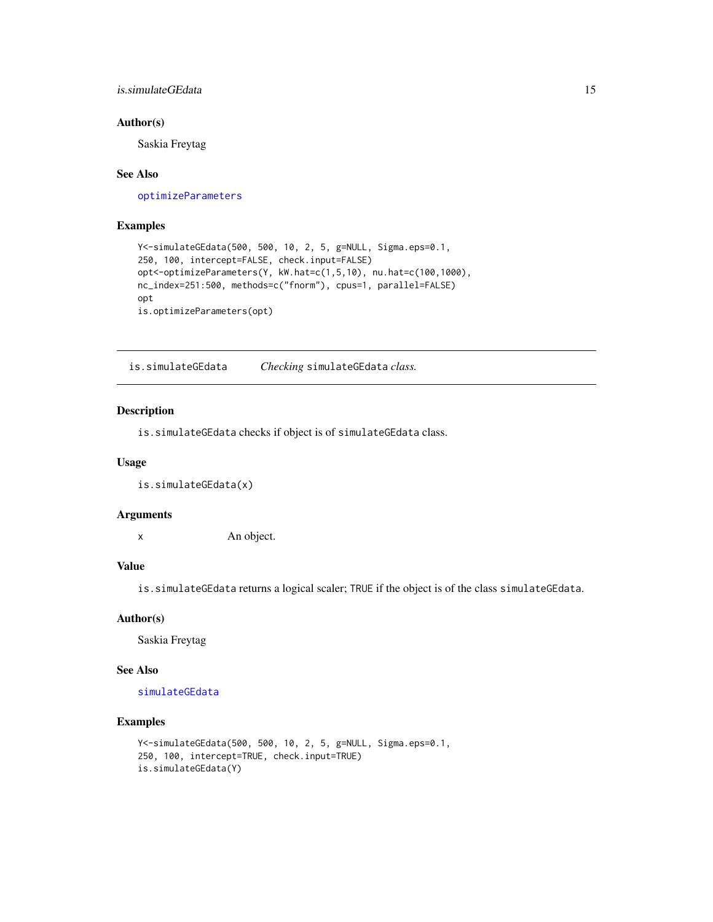### <span id="page-14-0"></span>is.simulateGEdata 15

### Author(s)

Saskia Freytag

#### See Also

[optimizeParameters](#page-16-1)

### Examples

```
Y<-simulateGEdata(500, 500, 10, 2, 5, g=NULL, Sigma.eps=0.1,
250, 100, intercept=FALSE, check.input=FALSE)
opt<-optimizeParameters(Y, kW.hat=c(1,5,10), nu.hat=c(100,1000),
nc_index=251:500, methods=c("fnorm"), cpus=1, parallel=FALSE)
opt
is.optimizeParameters(opt)
```
is.simulateGEdata *Checking* simulateGEdata *class.*

### Description

is.simulateGEdata checks if object is of simulateGEdata class.

#### Usage

is.simulateGEdata(x)

#### Arguments

x An object.

### Value

is.simulateGEdata returns a logical scaler; TRUE if the object is of the class simulateGEdata.

#### Author(s)

Saskia Freytag

#### See Also

[simulateGEdata](#page-27-1)

```
Y<-simulateGEdata(500, 500, 10, 2, 5, g=NULL, Sigma.eps=0.1,
250, 100, intercept=TRUE, check.input=TRUE)
is.simulateGEdata(Y)
```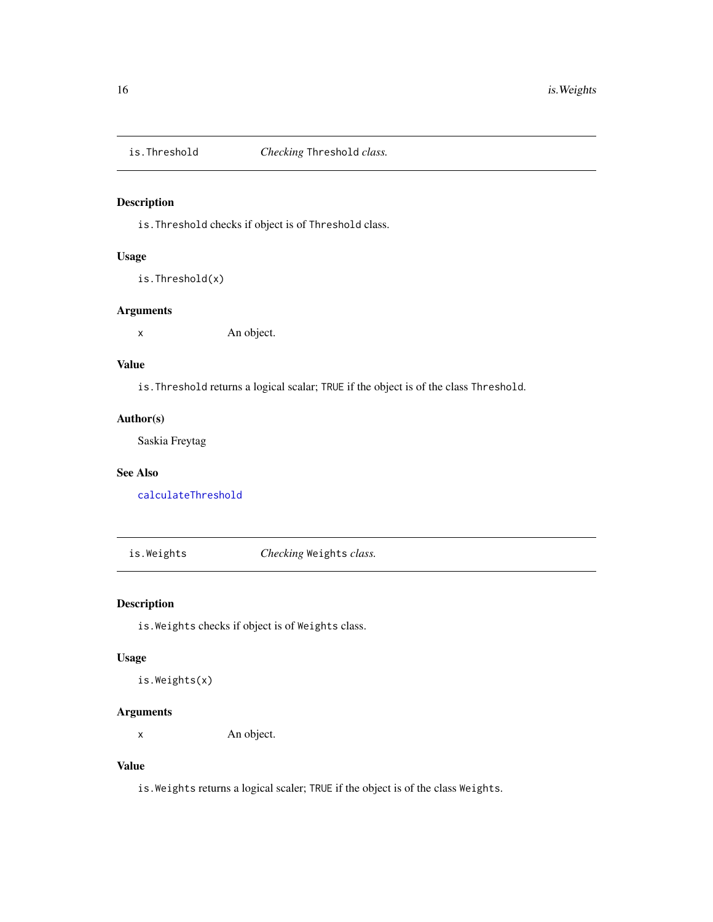<span id="page-15-0"></span>

is.Threshold checks if object is of Threshold class.

### Usage

is.Threshold(x)

#### Arguments

x An object.

### Value

is.Threshold returns a logical scalar; TRUE if the object is of the class Threshold.

### Author(s)

Saskia Freytag

### See Also

[calculateThreshold](#page-3-1)

is.Weights *Checking* Weights *class.*

### Description

is.Weights checks if object is of Weights class.

#### Usage

is.Weights(x)

### Arguments

x An object.

### Value

is.Weights returns a logical scaler; TRUE if the object is of the class Weights.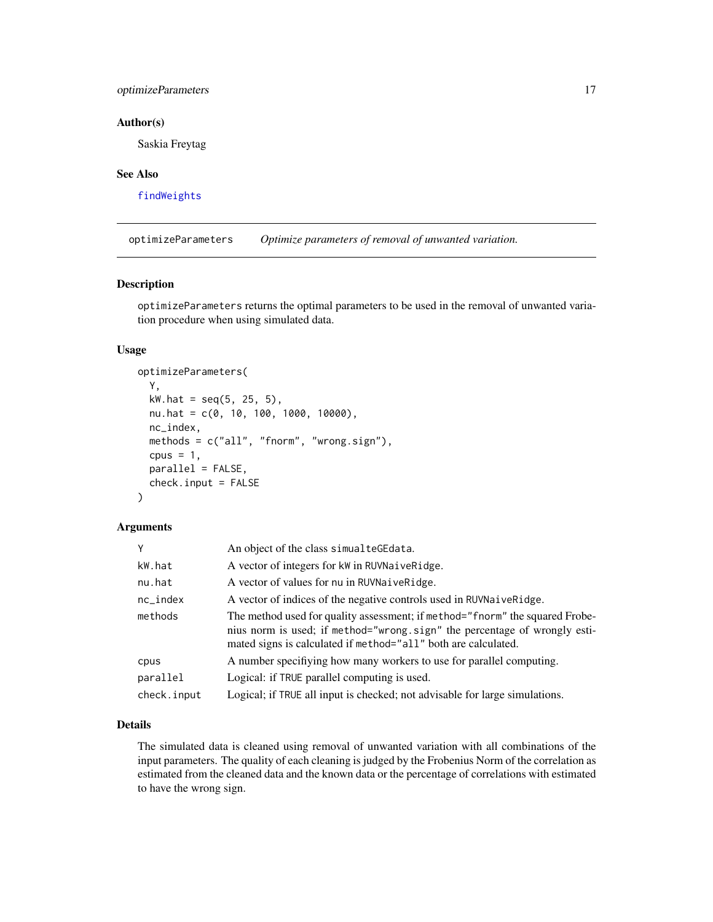### <span id="page-16-0"></span>optimizeParameters 17

#### Author(s)

Saskia Freytag

#### See Also

[findWeights](#page-10-1)

<span id="page-16-1"></span>optimizeParameters *Optimize parameters of removal of unwanted variation.*

#### Description

optimizeParameters returns the optimal parameters to be used in the removal of unwanted variation procedure when using simulated data.

#### Usage

```
optimizeParameters(
  Y,
 kw.hat = seq(5, 25, 5),nu.hat = c(0, 10, 100, 1000, 10000),
 nc_index,
 methods = c("all", "fnorm", "wrong.sign"),
  cpus = 1,
 parallel = FALSE,
  check.input = FALSE
)
```
#### Arguments

|             | An object of the class simualteGEdata.                                                                                                                                                                                      |
|-------------|-----------------------------------------------------------------------------------------------------------------------------------------------------------------------------------------------------------------------------|
| kW.hat      | A vector of integers for kW in RUVNaiveRidge.                                                                                                                                                                               |
| nu.hat      | A vector of values for nu in RUVNaive Ridge.                                                                                                                                                                                |
| nc_index    | A vector of indices of the negative controls used in RUVNaive Ridge.                                                                                                                                                        |
| methods     | The method used for quality assessment; if method="fnorm" the squared Frobe-<br>nius norm is used; if method="wrong.sign" the percentage of wrongly esti-<br>mated signs is calculated if method="all" both are calculated. |
| cpus        | A number specifiying how many workers to use for parallel computing.                                                                                                                                                        |
| parallel    | Logical: if TRUE parallel computing is used.                                                                                                                                                                                |
| check.input | Logical; if TRUE all input is checked; not advisable for large simulations.                                                                                                                                                 |

### Details

The simulated data is cleaned using removal of unwanted variation with all combinations of the input parameters. The quality of each cleaning is judged by the Frobenius Norm of the correlation as estimated from the cleaned data and the known data or the percentage of correlations with estimated to have the wrong sign.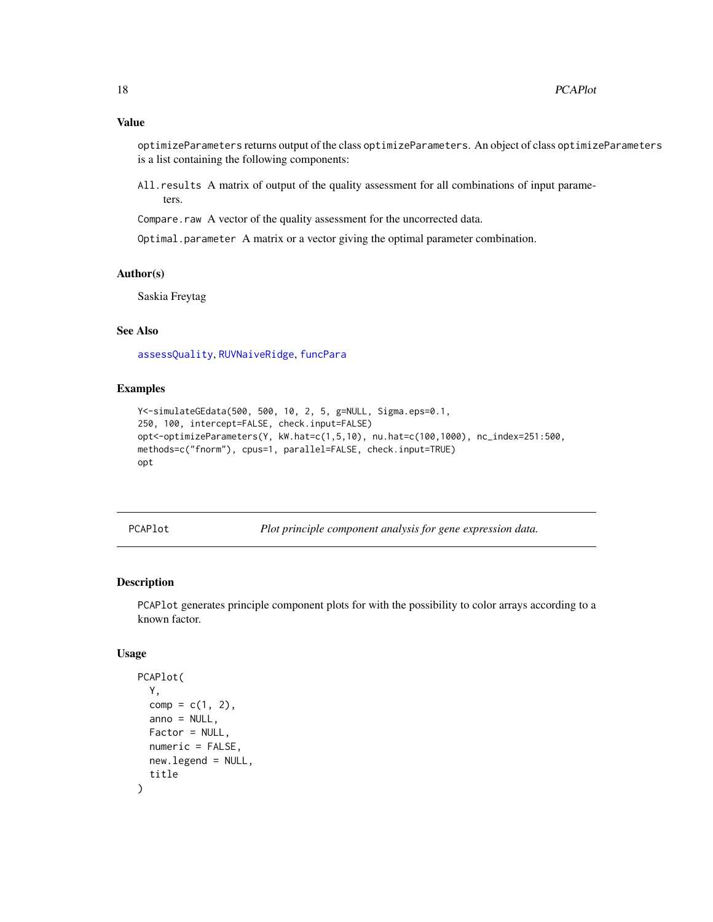<span id="page-17-0"></span>optimizeParameters returns output of the class optimizeParameters. An object of class optimizeParameters is a list containing the following components:

All.results A matrix of output of the quality assessment for all combinations of input parameters.

Compare.raw A vector of the quality assessment for the uncorrected data.

Optimal.parameter A matrix or a vector giving the optimal parameter combination.

#### Author(s)

Saskia Freytag

### See Also

[assessQuality](#page-1-1), [RUVNaiveRidge](#page-26-1), [funcPara](#page-0-0)

#### Examples

```
Y<-simulateGEdata(500, 500, 10, 2, 5, g=NULL, Sigma.eps=0.1,
250, 100, intercept=FALSE, check.input=FALSE)
opt<-optimizeParameters(Y, kW.hat=c(1,5,10), nu.hat=c(100,1000), nc_index=251:500,
methods=c("fnorm"), cpus=1, parallel=FALSE, check.input=TRUE)
opt
```
PCAPlot *Plot principle component analysis for gene expression data.*

### Description

PCAPlot generates principle component plots for with the possibility to color arrays according to a known factor.

#### Usage

```
PCAPlot(
  Y,
  comp = c(1, 2),anno = NULL,Factor = NULL,
  numeric = FALSE,
  new.legend = NULL,
  title
)
```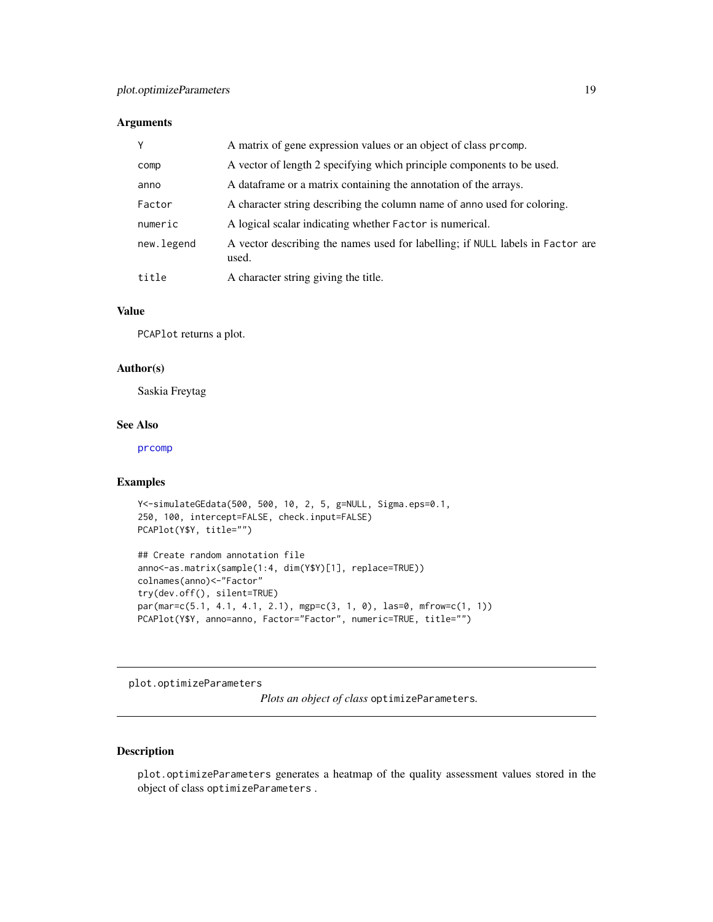### <span id="page-18-0"></span>Arguments

| Y          | A matrix of gene expression values or an object of class promp.                         |
|------------|-----------------------------------------------------------------------------------------|
| comp       | A vector of length 2 specifying which principle components to be used.                  |
| anno       | A data frame or a matrix containing the annotation of the arrays.                       |
| Factor     | A character string describing the column name of anno used for coloring.                |
| numeric    | A logical scalar indicating whether Factor is numerical.                                |
| new.legend | A vector describing the names used for labelling; if NULL labels in Factor are<br>used. |
| title      | A character string giving the title.                                                    |

### Value

PCAPlot returns a plot.

#### Author(s)

Saskia Freytag

### See Also

[prcomp](#page-0-0)

### Examples

```
Y<-simulateGEdata(500, 500, 10, 2, 5, g=NULL, Sigma.eps=0.1,
250, 100, intercept=FALSE, check.input=FALSE)
PCAPlot(Y$Y, title="")
```

```
## Create random annotation file
anno<-as.matrix(sample(1:4, dim(Y$Y)[1], replace=TRUE))
colnames(anno)<-"Factor"
try(dev.off(), silent=TRUE)
par(mar=c(5.1, 4.1, 4.1, 2.1), mgp=c(3, 1, 0), las=0, mfrow=c(1, 1))
PCAPlot(Y$Y, anno=anno, Factor="Factor", numeric=TRUE, title="")
```
plot.optimizeParameters

*Plots an object of class* optimizeParameters*.*

### Description

plot.optimizeParameters generates a heatmap of the quality assessment values stored in the object of class optimizeParameters .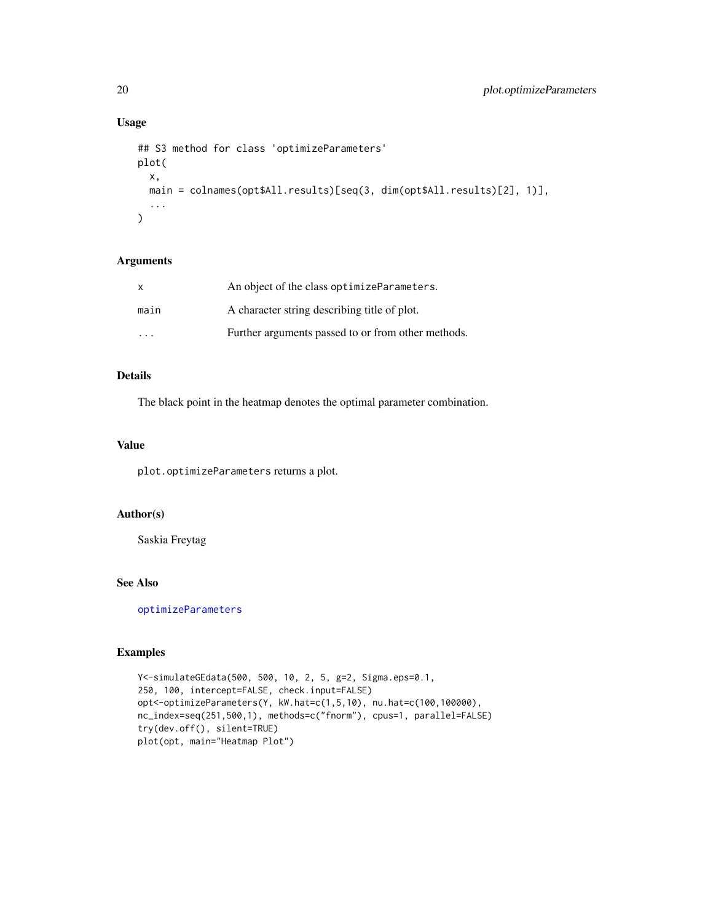### Usage

```
## S3 method for class 'optimizeParameters'
plot(
  x,
 main = colnames(opt$All.results)[seq(3, dim(opt$All.results)[2], 1)],
  ...
\mathcal{L}
```
#### Arguments

| X    | An object of the class optimize Parameters.        |
|------|----------------------------------------------------|
| main | A character string describing title of plot.       |
| .    | Further arguments passed to or from other methods. |

### Details

The black point in the heatmap denotes the optimal parameter combination.

#### Value

plot.optimizeParameters returns a plot.

### Author(s)

Saskia Freytag

### See Also

[optimizeParameters](#page-16-1)

```
Y<-simulateGEdata(500, 500, 10, 2, 5, g=2, Sigma.eps=0.1,
250, 100, intercept=FALSE, check.input=FALSE)
opt<-optimizeParameters(Y, kW.hat=c(1,5,10), nu.hat=c(100,100000),
nc_index=seq(251,500,1), methods=c("fnorm"), cpus=1, parallel=FALSE)
try(dev.off(), silent=TRUE)
plot(opt, main="Heatmap Plot")
```
<span id="page-19-0"></span>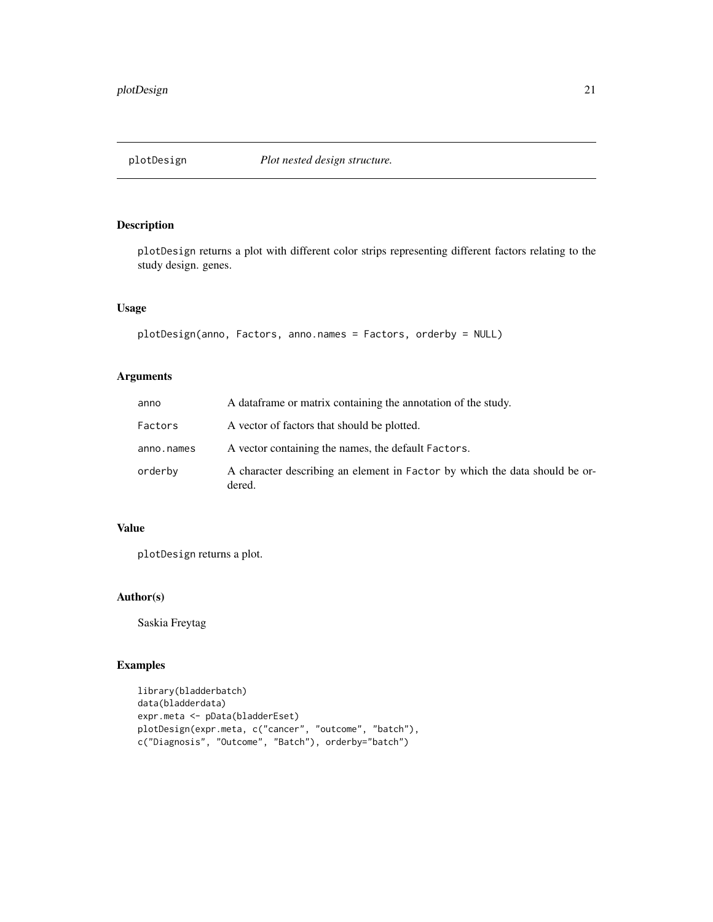<span id="page-20-0"></span>

plotDesign returns a plot with different color strips representing different factors relating to the study design. genes.

### Usage

```
plotDesign(anno, Factors, anno.names = Factors, orderby = NULL)
```
### Arguments

| anno       | A data frame or matrix containing the annotation of the study.                        |
|------------|---------------------------------------------------------------------------------------|
| Factors    | A vector of factors that should be plotted.                                           |
| anno.names | A vector containing the names, the default Factors.                                   |
| orderby    | A character describing an element in Factor by which the data should be or-<br>dered. |

### Value

plotDesign returns a plot.

### Author(s)

Saskia Freytag

```
library(bladderbatch)
data(bladderdata)
expr.meta <- pData(bladderEset)
plotDesign(expr.meta, c("cancer", "outcome", "batch"),
c("Diagnosis", "Outcome", "Batch"), orderby="batch")
```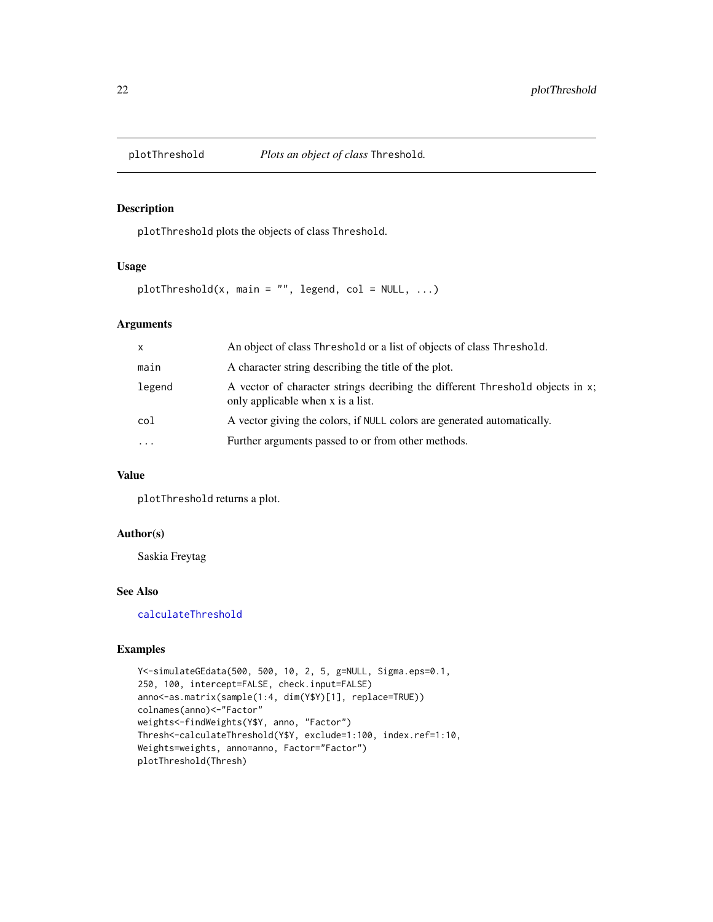<span id="page-21-0"></span>

plotThreshold plots the objects of class Threshold.

#### Usage

plotThreshold(x, main = "", legend, col =  $NULL$ , ...)

### Arguments

| $\mathsf{x}$ | An object of class Threshold or a list of objects of class Threshold.                                              |
|--------------|--------------------------------------------------------------------------------------------------------------------|
| main         | A character string describing the title of the plot.                                                               |
| legend       | A vector of character strings decribing the different Threshold objects in x;<br>only applicable when x is a list. |
| col          | A vector giving the colors, if NULL colors are generated automatically.                                            |
| $\ddotsc$    | Further arguments passed to or from other methods.                                                                 |

### Value

plotThreshold returns a plot.

### Author(s)

Saskia Freytag

### See Also

[calculateThreshold](#page-3-1)

```
Y<-simulateGEdata(500, 500, 10, 2, 5, g=NULL, Sigma.eps=0.1,
250, 100, intercept=FALSE, check.input=FALSE)
anno<-as.matrix(sample(1:4, dim(Y$Y)[1], replace=TRUE))
colnames(anno)<-"Factor"
weights<-findWeights(Y$Y, anno, "Factor")
Thresh<-calculateThreshold(Y$Y, exclude=1:100, index.ref=1:10,
Weights=weights, anno=anno, Factor="Factor")
plotThreshold(Thresh)
```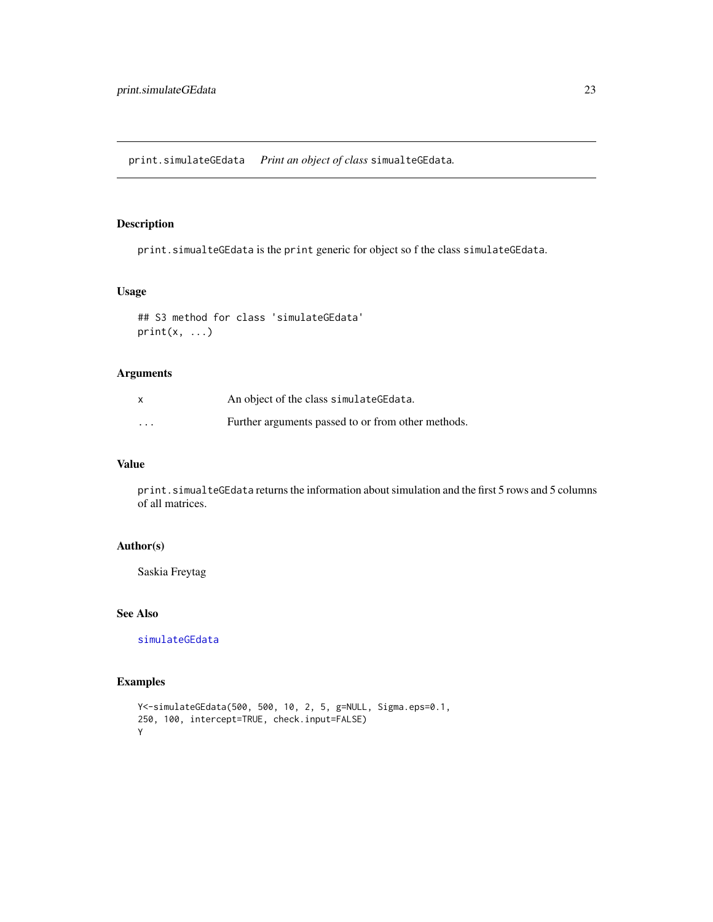<span id="page-22-0"></span>print.simulateGEdata *Print an object of class* simualteGEdata*.*

### Description

print.simualteGEdata is the print generic for object so f the class simulateGEdata.

#### Usage

```
## S3 method for class 'simulateGEdata'
print(x, \ldots)
```
### Arguments

|         | An object of the class simulate GE data.           |
|---------|----------------------------------------------------|
| $\cdot$ | Further arguments passed to or from other methods. |

### Value

print.simualteGEdata returns the information about simulation and the first 5 rows and 5 columns of all matrices.

#### Author(s)

Saskia Freytag

#### See Also

[simulateGEdata](#page-27-1)

```
Y<-simulateGEdata(500, 500, 10, 2, 5, g=NULL, Sigma.eps=0.1,
250, 100, intercept=TRUE, check.input=FALSE)
Y
```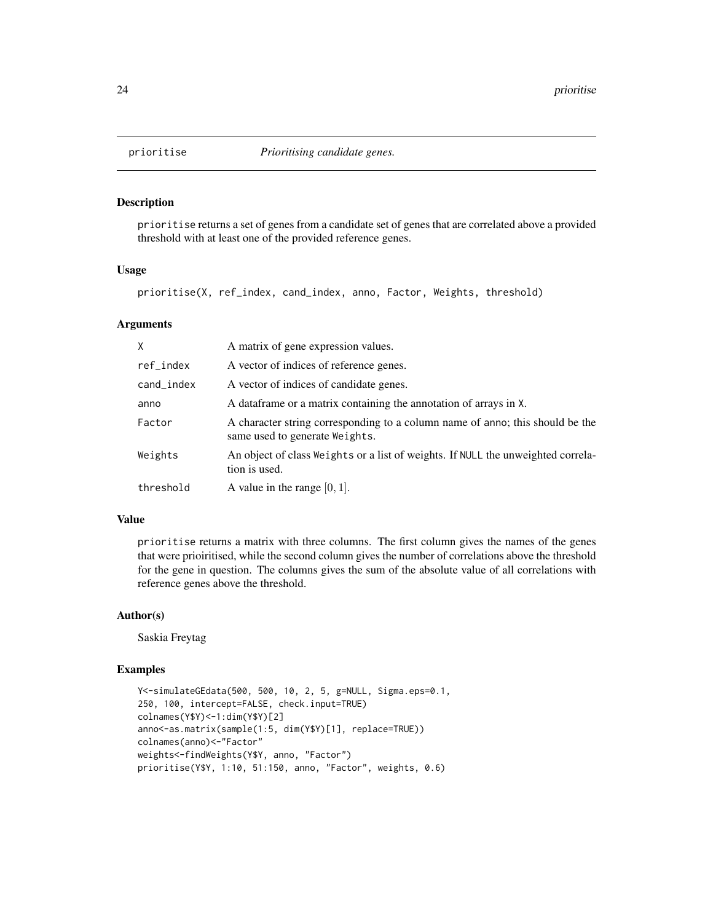<span id="page-23-0"></span>

prioritise returns a set of genes from a candidate set of genes that are correlated above a provided threshold with at least one of the provided reference genes.

#### Usage

prioritise(X, ref\_index, cand\_index, anno, Factor, Weights, threshold)

#### Arguments

| X          | A matrix of gene expression values.                                                                             |
|------------|-----------------------------------------------------------------------------------------------------------------|
| ref_index  | A vector of indices of reference genes.                                                                         |
| cand_index | A vector of indices of candidate genes.                                                                         |
| anno       | A data frame or a matrix containing the annotation of arrays in X.                                              |
| Factor     | A character string corresponding to a column name of anno; this should be the<br>same used to generate Weights. |
| Weights    | An object of class Weights or a list of weights. If NULL the unweighted correla-<br>tion is used.               |
| threshold  | A value in the range $[0, 1]$ .                                                                                 |

### Value

prioritise returns a matrix with three columns. The first column gives the names of the genes that were prioiritised, while the second column gives the number of correlations above the threshold for the gene in question. The columns gives the sum of the absolute value of all correlations with reference genes above the threshold.

### Author(s)

Saskia Freytag

```
Y<-simulateGEdata(500, 500, 10, 2, 5, g=NULL, Sigma.eps=0.1,
250, 100, intercept=FALSE, check.input=TRUE)
colnames(Y$Y)<-1:dim(Y$Y)[2]
anno<-as.matrix(sample(1:5, dim(Y$Y)[1], replace=TRUE))
colnames(anno)<-"Factor"
weights<-findWeights(Y$Y, anno, "Factor")
prioritise(Y$Y, 1:10, 51:150, anno, "Factor", weights, 0.6)
```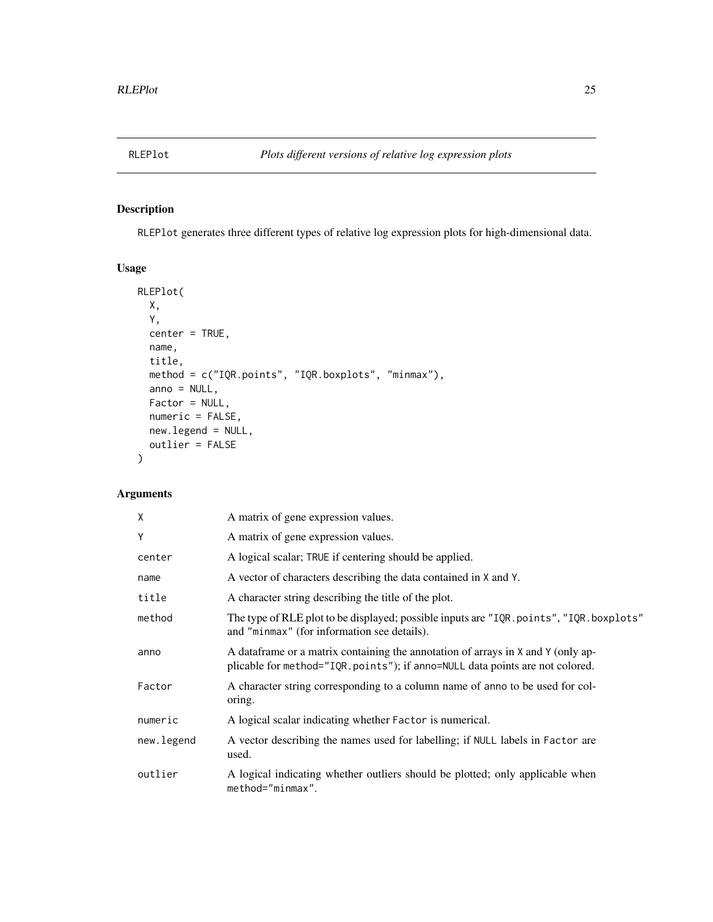<span id="page-24-0"></span>

RLEPlot generates three different types of relative log expression plots for high-dimensional data.

### Usage

```
RLEPlot(
 X,
 Y,
 center = TRUE,
 name,
 title,
 method = c("IQR.points", "IQR.boxplots", "minmax"),
 anno = NULL,Factor = NULL,
 numeric = FALSE,new.legend = NULL,
 outlier = FALSE
\mathcal{L}
```

| X          | A matrix of gene expression values.                                                                                                                               |
|------------|-------------------------------------------------------------------------------------------------------------------------------------------------------------------|
| Y          | A matrix of gene expression values.                                                                                                                               |
| center     | A logical scalar; TRUE if centering should be applied.                                                                                                            |
| name       | A vector of characters describing the data contained in X and Y.                                                                                                  |
| title      | A character string describing the title of the plot.                                                                                                              |
| method     | The type of RLE plot to be displayed; possible inputs are "IQR. points", "IQR. boxplots"<br>and "minmax" (for information see details).                           |
| anno       | A data frame or a matrix containing the annotation of arrays in X and Y (only ap-<br>plicable for method="IQR.points"); if anno=NULL data points are not colored. |
| Factor     | A character string corresponding to a column name of anno to be used for col-<br>oring.                                                                           |
| numeric    | A logical scalar indicating whether Factor is numerical.                                                                                                          |
| new.legend | A vector describing the names used for labelling; if NULL labels in Factor are<br>used.                                                                           |
| outlier    | A logical indicating whether outliers should be plotted; only applicable when<br>method="minmax".                                                                 |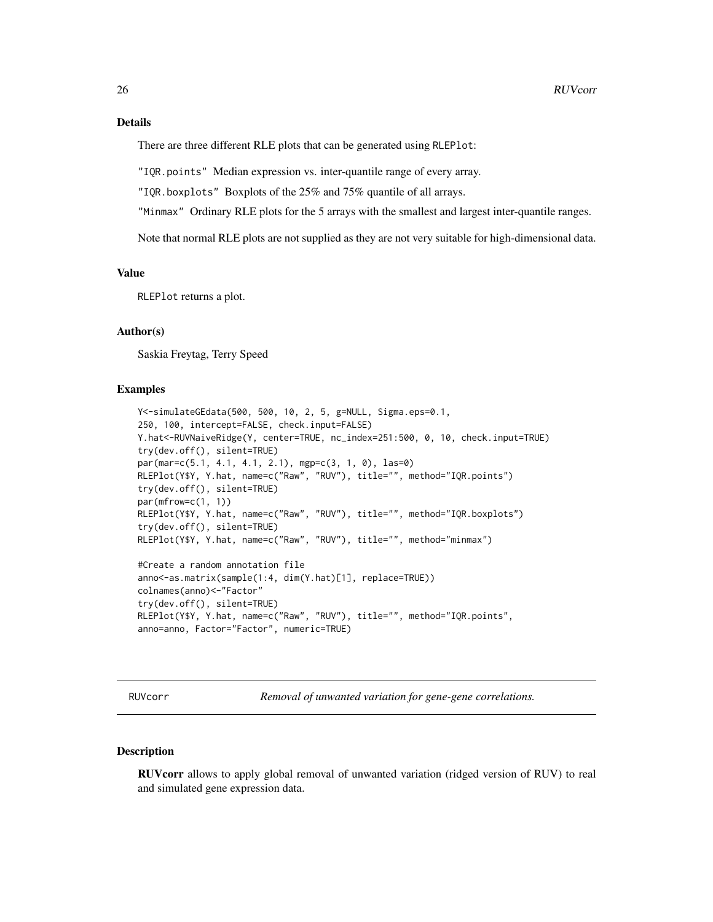<span id="page-25-0"></span>There are three different RLE plots that can be generated using RLEPlot:

"IQR.points" Median expression vs. inter-quantile range of every array.

"IQR.boxplots" Boxplots of the 25% and 75% quantile of all arrays.

"Minmax" Ordinary RLE plots for the 5 arrays with the smallest and largest inter-quantile ranges.

Note that normal RLE plots are not supplied as they are not very suitable for high-dimensional data.

#### Value

RLEPlot returns a plot.

### Author(s)

Saskia Freytag, Terry Speed

#### Examples

```
Y<-simulateGEdata(500, 500, 10, 2, 5, g=NULL, Sigma.eps=0.1,
250, 100, intercept=FALSE, check.input=FALSE)
Y.hat<-RUVNaiveRidge(Y, center=TRUE, nc_index=251:500, 0, 10, check.input=TRUE)
try(dev.off(), silent=TRUE)
par(mar=c(5.1, 4.1, 4.1, 2.1), mgp=c(3, 1, 0), las=0)
RLEPlot(Y$Y, Y.hat, name=c("Raw", "RUV"), title="", method="IQR.points")
try(dev.off(), silent=TRUE)
par(mfrow=c(1, 1))RLEPlot(Y$Y, Y.hat, name=c("Raw", "RUV"), title="", method="IQR.boxplots")
try(dev.off(), silent=TRUE)
RLEPlot(Y$Y, Y.hat, name=c("Raw", "RUV"), title="", method="minmax")
#Create a random annotation file
anno<-as.matrix(sample(1:4, dim(Y.hat)[1], replace=TRUE))
colnames(anno)<-"Factor"
try(dev.off(), silent=TRUE)
RLEPlot(Y$Y, Y.hat, name=c("Raw", "RUV"), title="", method="IQR.points",
anno=anno, Factor="Factor", numeric=TRUE)
```
RUVcorr *Removal of unwanted variation for gene-gene correlations.*

#### Description

RUVcorr allows to apply global removal of unwanted variation (ridged version of RUV) to real and simulated gene expression data.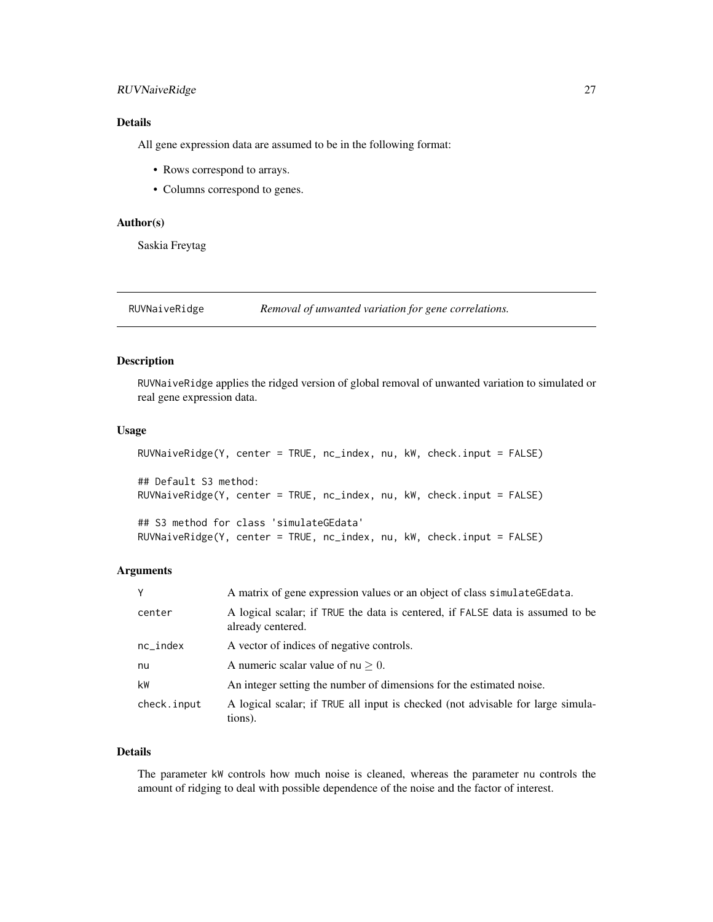### <span id="page-26-0"></span>RUVNaiveRidge 27

### Details

All gene expression data are assumed to be in the following format:

- Rows correspond to arrays.
- Columns correspond to genes.

### Author(s)

Saskia Freytag

<span id="page-26-1"></span>RUVNaiveRidge *Removal of unwanted variation for gene correlations.*

### Description

RUVNaiveRidge applies the ridged version of global removal of unwanted variation to simulated or real gene expression data.

### Usage

```
RUVNaiveRidge(Y, center = TRUE, nc_index, nu, kW, check.input = FALSE)
## Default S3 method:
RUVNaiveRidge(Y, center = TRUE, nc_index, nu, kW, check.input = FALSE)
## S3 method for class 'simulateGEdata'
RUVNaiveRidge(Y, center = TRUE, nc_index, nu, kW, check.input = FALSE)
```
#### Arguments

| Y           | A matrix of gene expression values or an object of class simulate GE data.                          |
|-------------|-----------------------------------------------------------------------------------------------------|
| center      | A logical scalar; if TRUE the data is centered, if FALSE data is assumed to be<br>already centered. |
| $nc_index$  | A vector of indices of negative controls.                                                           |
| nu          | A numeric scalar value of $nu > 0$ .                                                                |
| kW          | An integer setting the number of dimensions for the estimated noise.                                |
| check.input | A logical scalar; if TRUE all input is checked (not advisable for large simula-<br>tions).          |

### Details

The parameter kW controls how much noise is cleaned, whereas the parameter nu controls the amount of ridging to deal with possible dependence of the noise and the factor of interest.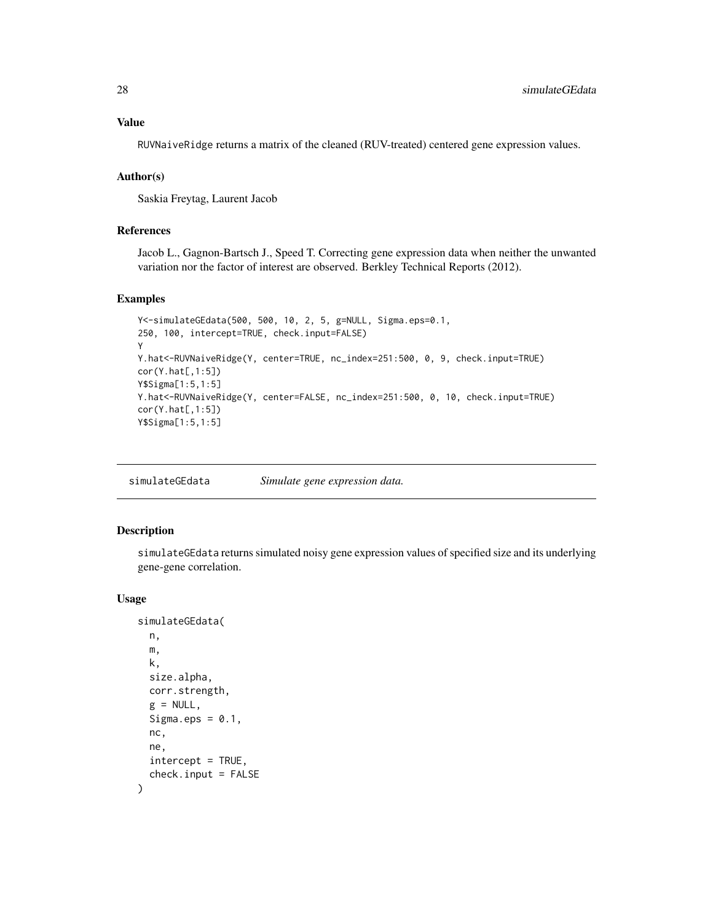### <span id="page-27-0"></span>Value

RUVNaiveRidge returns a matrix of the cleaned (RUV-treated) centered gene expression values.

### Author(s)

Saskia Freytag, Laurent Jacob

### References

Jacob L., Gagnon-Bartsch J., Speed T. Correcting gene expression data when neither the unwanted variation nor the factor of interest are observed. Berkley Technical Reports (2012).

#### Examples

```
Y<-simulateGEdata(500, 500, 10, 2, 5, g=NULL, Sigma.eps=0.1,
250, 100, intercept=TRUE, check.input=FALSE)
Y
Y.hat<-RUVNaiveRidge(Y, center=TRUE, nc_index=251:500, 0, 9, check.input=TRUE)
cor(Y.hat[,1:5])
Y$Sigma[1:5,1:5]
Y.hat<-RUVNaiveRidge(Y, center=FALSE, nc_index=251:500, 0, 10, check.input=TRUE)
cor(Y.hat[,1:5])
Y$Sigma[1:5,1:5]
```
<span id="page-27-1"></span>simulateGEdata *Simulate gene expression data.*

### Description

simulateGEdata returns simulated noisy gene expression values of specified size and its underlying gene-gene correlation.

#### Usage

```
simulateGEdata(
 n,
 m,
 k,
  size.alpha,
 corr.strength,
 g = NULL,Sigma.eps = 0.1,
 nc,
 ne,
  intercept = TRUE,
  check.input = FALSE
)
```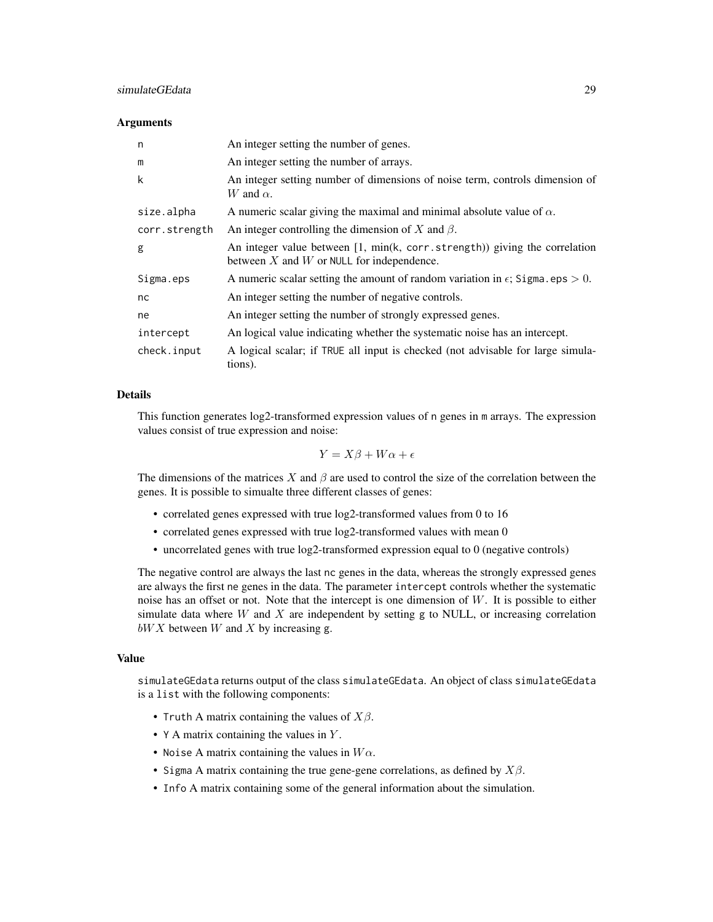### simulateGEdata 29

#### Arguments

| n             | An integer setting the number of genes.                                                                                   |
|---------------|---------------------------------------------------------------------------------------------------------------------------|
| m             | An integer setting the number of arrays.                                                                                  |
| k             | An integer setting number of dimensions of noise term, controls dimension of<br>W and $\alpha$ .                          |
| size.alpha    | A numeric scalar giving the maximal and minimal absolute value of $\alpha$ .                                              |
| corr.strength | An integer controlling the dimension of X and $\beta$ .                                                                   |
| g             | An integer value between $[1, min(k, corr.strength))$ giving the correlation<br>between X and W or NULL for independence. |
| Sigma.eps     | A numeric scalar setting the amount of random variation in $\epsilon$ ; Sigma.eps $> 0$ .                                 |
| nc            | An integer setting the number of negative controls.                                                                       |
| ne            | An integer setting the number of strongly expressed genes.                                                                |
| intercept     | An logical value indicating whether the systematic noise has an intercept.                                                |
| check.input   | A logical scalar; if TRUE all input is checked (not advisable for large simula-<br>tions).                                |

#### Details

This function generates log2-transformed expression values of n genes in m arrays. The expression values consist of true expression and noise:

$$
Y = X\beta + W\alpha + \epsilon
$$

The dimensions of the matrices X and  $\beta$  are used to control the size of the correlation between the genes. It is possible to simualte three different classes of genes:

- correlated genes expressed with true log2-transformed values from 0 to 16
- correlated genes expressed with true log2-transformed values with mean 0
- uncorrelated genes with true log2-transformed expression equal to 0 (negative controls)

The negative control are always the last nc genes in the data, whereas the strongly expressed genes are always the first ne genes in the data. The parameter intercept controls whether the systematic noise has an offset or not. Note that the intercept is one dimension of W. It is possible to either simulate data where  $W$  and  $X$  are independent by setting  $g$  to NULL, or increasing correlation  $bWX$  between W and X by increasing g.

#### Value

simulateGEdata returns output of the class simulateGEdata. An object of class simulateGEdata is a list with the following components:

- Truth A matrix containing the values of  $X\beta$ .
- Y A matrix containing the values in Y.
- Noise A matrix containing the values in  $W\alpha$ .
- Sigma A matrix containing the true gene-gene correlations, as defined by  $X\beta$ .
- Info A matrix containing some of the general information about the simulation.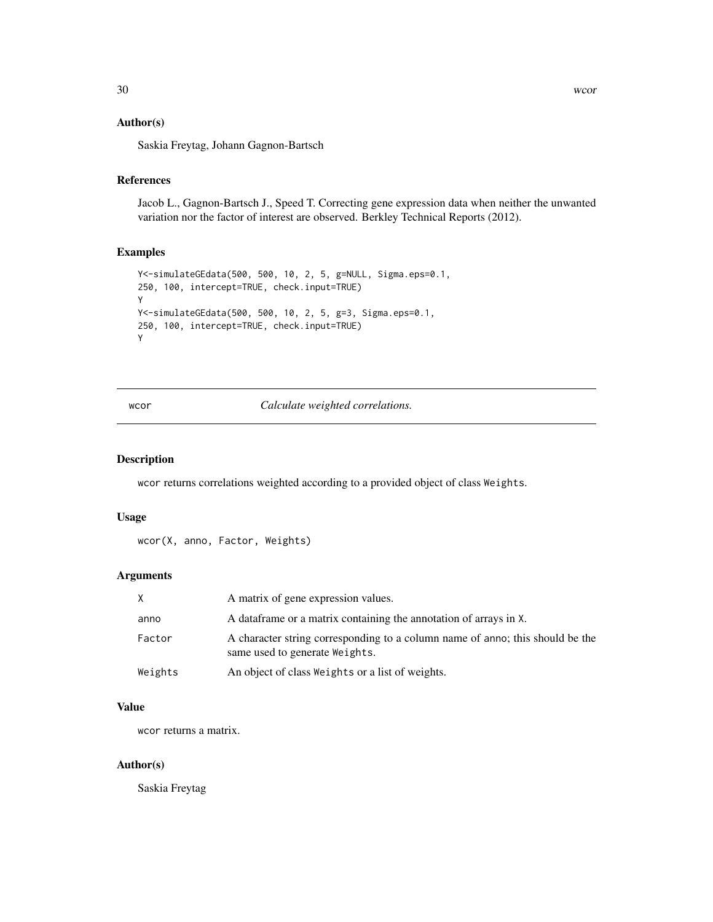### <span id="page-29-0"></span>Author(s)

Saskia Freytag, Johann Gagnon-Bartsch

### References

Jacob L., Gagnon-Bartsch J., Speed T. Correcting gene expression data when neither the unwanted variation nor the factor of interest are observed. Berkley Technical Reports (2012).

### Examples

```
Y<-simulateGEdata(500, 500, 10, 2, 5, g=NULL, Sigma.eps=0.1,
250, 100, intercept=TRUE, check.input=TRUE)
Y
Y<-simulateGEdata(500, 500, 10, 2, 5, g=3, Sigma.eps=0.1,
250, 100, intercept=TRUE, check.input=TRUE)
Y
```
wcor *Calculate weighted correlations.*

#### Description

wcor returns correlations weighted according to a provided object of class Weights.

#### Usage

```
wcor(X, anno, Factor, Weights)
```
### Arguments

| X       | A matrix of gene expression values.                                                                             |
|---------|-----------------------------------------------------------------------------------------------------------------|
| anno    | A data frame or a matrix containing the annotation of arrays in X.                                              |
| Factor  | A character string corresponding to a column name of anno; this should be the<br>same used to generate Weights. |
| Weights | An object of class Weights or a list of weights.                                                                |

#### Value

wcor returns a matrix.

#### Author(s)

Saskia Freytag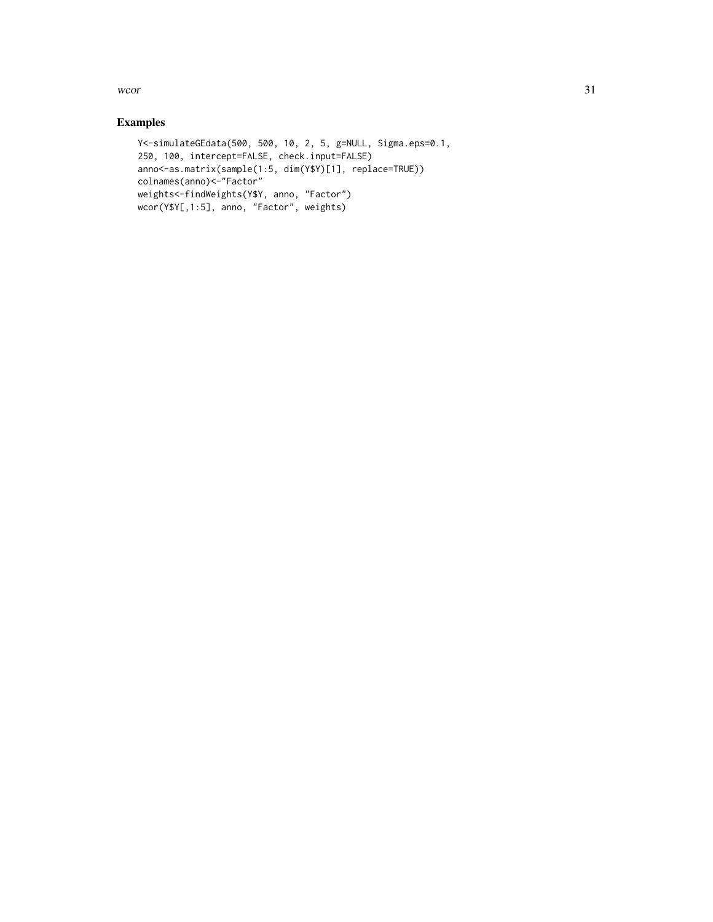$\mu$  wcor  $\frac{31}{2}$ 

```
Y<-simulateGEdata(500, 500, 10, 2, 5, g=NULL, Sigma.eps=0.1,
250, 100, intercept=FALSE, check.input=FALSE)
anno<-as.matrix(sample(1:5, dim(Y$Y)[1], replace=TRUE))
colnames(anno)<-"Factor"
weights<-findWeights(Y$Y, anno, "Factor")
wcor(Y$Y[,1:5], anno, "Factor", weights)
```